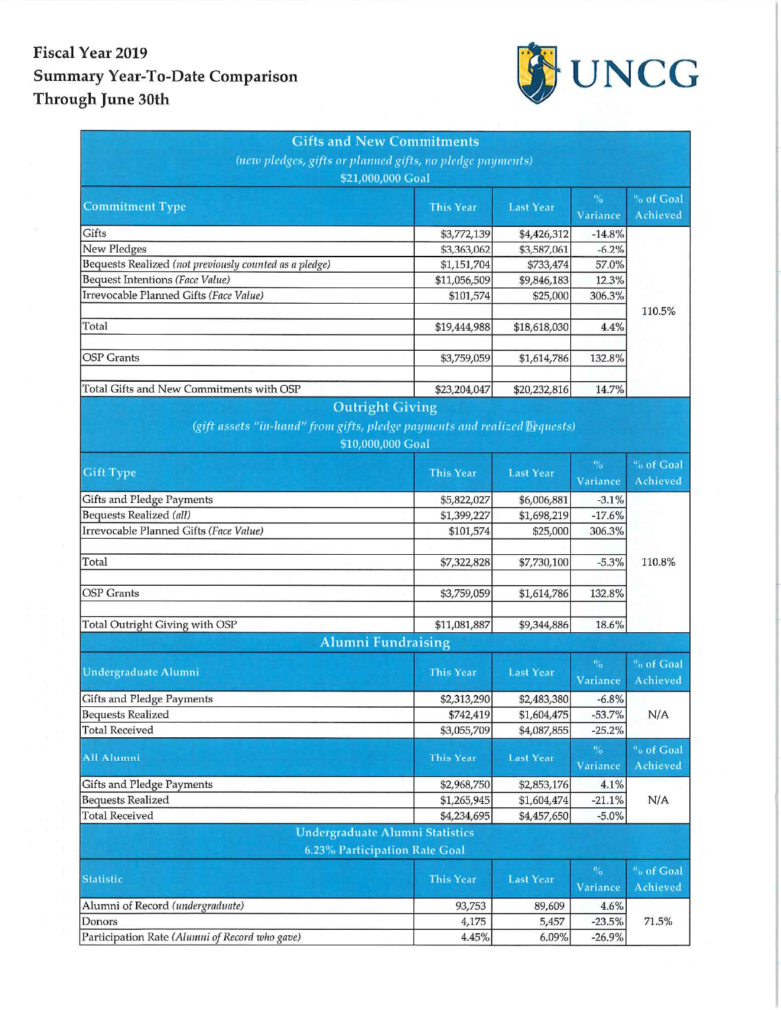## Fiscal Year 2019 **Summary Year-To-Date Comparison** Through June 30th



| <b>Gifts and New Commitments</b>                                          |                  |                  |                  |                                    |  |  |  |
|---------------------------------------------------------------------------|------------------|------------------|------------------|------------------------------------|--|--|--|
| (new pledges, gifts or planned gifts, no pledge payments)                 |                  |                  |                  |                                    |  |  |  |
| \$21,000,000 Goal                                                         |                  |                  |                  |                                    |  |  |  |
| <b>Commitment Type</b>                                                    | <b>This Year</b> | <b>Last Year</b> | $\%$             | % of Goal                          |  |  |  |
|                                                                           |                  |                  | Variance         | Achieved                           |  |  |  |
| Gifts                                                                     | \$3,772,139      | \$4,426,312      | $-14.8%$         |                                    |  |  |  |
| New Pledges                                                               | \$3,363,062      | \$3,587,061      | $-6.2%$          |                                    |  |  |  |
| Bequests Realized (not previously counted as a pledge)                    | \$1,151,704      | \$733,474        | 57.0%            |                                    |  |  |  |
| <b>Bequest Intentions (Face Value)</b>                                    | \$11,056,509     | \$9,846,183      | 12.3%            |                                    |  |  |  |
| Irrevocable Planned Gifts (Face Value)                                    | \$101,574        | \$25,000         | 306.3%           |                                    |  |  |  |
|                                                                           |                  |                  |                  | 110.5%                             |  |  |  |
| Total                                                                     | \$19,444,988     | \$18,618,030     | 4.4%             |                                    |  |  |  |
| <b>OSP</b> Grants                                                         |                  |                  |                  |                                    |  |  |  |
|                                                                           | \$3,759,059      | \$1,614,786      | 132.8%           |                                    |  |  |  |
| Total Gifts and New Commitments with OSP                                  | \$23,204,047     | \$20,232,816     | 14.7%            |                                    |  |  |  |
| <b>Outright Giving</b>                                                    |                  |                  |                  |                                    |  |  |  |
| (gift assets "in-hand" from gifts, pledge payments and realized Dequests) |                  |                  |                  |                                    |  |  |  |
| \$10,000,000 Goal                                                         |                  |                  |                  |                                    |  |  |  |
|                                                                           |                  |                  | $\frac{1}{2}$    | <sup>o</sup> <sub>o</sub> of Goal  |  |  |  |
| <b>Gift Type</b>                                                          | <b>This Year</b> | <b>Last Year</b> |                  | <b>Achieved</b>                    |  |  |  |
|                                                                           |                  |                  | Variance         |                                    |  |  |  |
| <b>Gifts and Pledge Payments</b>                                          | \$5,822,027      | \$6,006,881      | $-3.1%$          |                                    |  |  |  |
| Bequests Realized (all)                                                   | \$1,399,227      | \$1,698,219      | $-17.6%$         |                                    |  |  |  |
| Irrevocable Planned Gifts (Face Value)                                    | \$101,574        | \$25,000         | 306.3%           |                                    |  |  |  |
|                                                                           |                  |                  |                  |                                    |  |  |  |
| Total                                                                     | \$7,322,828      | \$7,730,100      | $-5.3%$          | 110.8%                             |  |  |  |
| <b>OSP</b> Grants                                                         |                  |                  |                  |                                    |  |  |  |
|                                                                           | \$3,759,059      | \$1,614,786      | 132.8%           |                                    |  |  |  |
| Total Outright Giving with OSP                                            | \$11,081,887     | \$9,344,886      | 18.6%            |                                    |  |  |  |
| <b>Alumni Fundraising</b>                                                 |                  |                  |                  |                                    |  |  |  |
|                                                                           |                  |                  |                  |                                    |  |  |  |
| <b>Undergraduate Alumni</b>                                               | <b>This Year</b> | <b>Last Year</b> | $\%$<br>Variance | <sup>o</sup> o of Goal<br>Achieved |  |  |  |
| Gifts and Pledge Payments                                                 | \$2,313,290      | \$2,483,380      | $-6.8%$          |                                    |  |  |  |
| <b>Bequests Realized</b>                                                  | \$742,419        | \$1,604,475      | $-53.7%$         | N/A                                |  |  |  |
| <b>Total Received</b>                                                     | \$3,055,709      | \$4,087,855      | $-25.2%$         |                                    |  |  |  |
|                                                                           |                  |                  | $\%$             | <sup>o</sup> o of Goal             |  |  |  |
| <b>All Alumni</b>                                                         | <b>This Year</b> | <b>Last Year</b> | Variance         | <b>Achieved</b>                    |  |  |  |
| Gifts and Pledge Payments                                                 | \$2,968,750      | \$2,853,176      | 4.1%             |                                    |  |  |  |
| <b>Bequests Realized</b>                                                  | \$1,265,945      | \$1,604,474      | $-21.1%$         | N/A                                |  |  |  |
| <b>Total Received</b>                                                     | \$4,234,695      | \$4,457,650      | $-5.0%$          |                                    |  |  |  |
| <b>Undergraduate Alumni Statistics</b>                                    |                  |                  |                  |                                    |  |  |  |
| 6.23% Participation Rate Goal                                             |                  |                  |                  |                                    |  |  |  |
|                                                                           |                  |                  | $\%$             | <sup>o</sup> <sub>o</sub> of Goal  |  |  |  |
| <b>Statistic</b>                                                          | <b>This Year</b> | <b>Last Year</b> | Variance         | Achieved                           |  |  |  |
| Alumni of Record (undergraduate)                                          | 93,753           | 89,609           | 4.6%             |                                    |  |  |  |
| Donors                                                                    | 4,175            | 5,457            | $-23.5%$         | 71.5%                              |  |  |  |
| Participation Rate (Alumni of Record who gave)                            | 4.45%            | 6.09%            | $-26.9%$         |                                    |  |  |  |
|                                                                           |                  |                  |                  |                                    |  |  |  |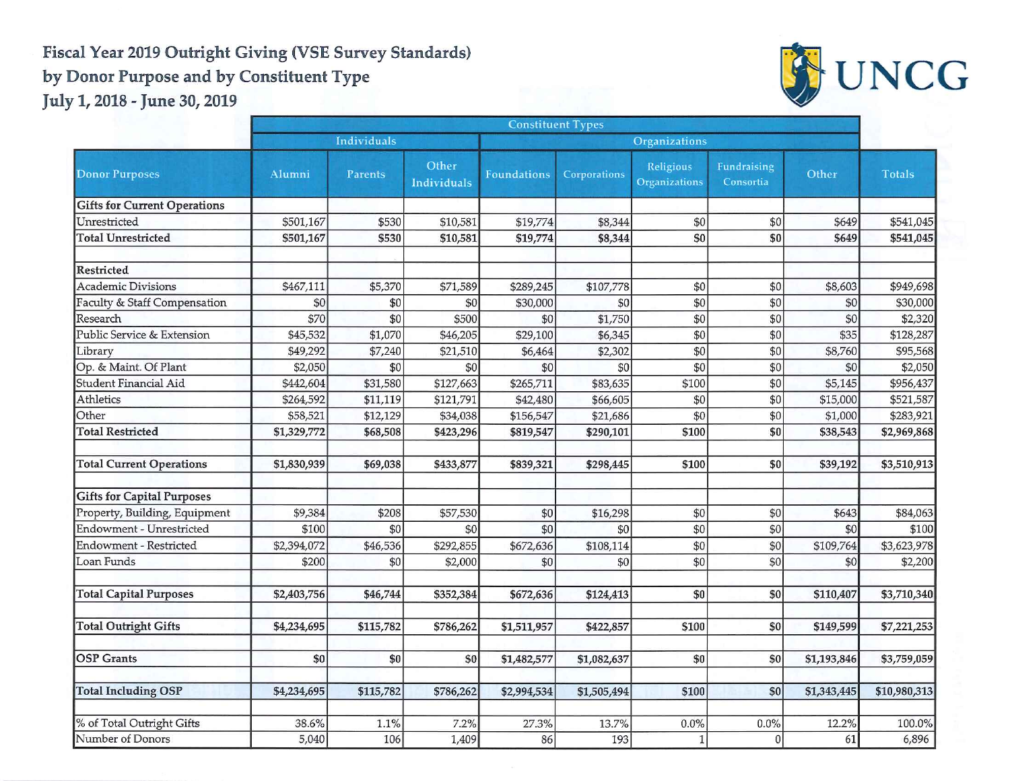## Fiscal Year 2019 Outright Giving (VSE Survey Standards) by Donor Purpose and by Constituent Type



July 1, 2018 - June 30, 2019

|                                     | <b>Constituent Types</b> |           |                      |                    |              |                            |                          |             |               |
|-------------------------------------|--------------------------|-----------|----------------------|--------------------|--------------|----------------------------|--------------------------|-------------|---------------|
| <b>Donor Purposes</b>               | Individuals              |           |                      | Organizations      |              |                            |                          |             |               |
|                                     | Alumni                   | Parents   | Other<br>Individuals | <b>Foundations</b> | Corporations | Religious<br>Organizations | Fundraising<br>Consortia | Other       | <b>Totals</b> |
| <b>Gifts for Current Operations</b> |                          |           |                      |                    |              |                            |                          |             |               |
| Unrestricted                        | \$501,167                | \$530     | \$10,581             | \$19,774           | \$8,344      | \$0                        | \$0                      | \$649       | \$541,045     |
| <b>Total Unrestricted</b>           | \$501,167                | \$530     | \$10,581             | \$19,774           | \$8,344      | \$0                        | \$0                      | \$649       | \$541,045     |
| Restricted                          |                          |           |                      |                    |              |                            |                          |             |               |
| <b>Academic Divisions</b>           | \$467,111                | \$5,370   | \$71,589             | \$289,245          | \$107,778    | \$0                        | \$0                      | \$8,603     | \$949,698     |
| Faculty & Staff Compensation        | \$0                      | \$0       | \$0                  | \$30,000           | \$0          | \$0                        | \$0                      | \$0         | \$30,000      |
| Research                            | \$70                     | \$0       | \$500                | \$0                | \$1,750      | \$0                        | \$0                      | \$0         | \$2,320       |
| Public Service & Extension          | \$45,532                 | \$1,070   | \$46,205             | \$29,100           | \$6,345      | \$0                        | \$0                      | \$35        | \$128,287     |
| Librarv                             | \$49,292                 | \$7,240   | \$21,510             | \$6,464            | \$2,302      | \$0                        | \$0                      | \$8,760     | \$95,568      |
| Op. & Maint. Of Plant               | \$2,050                  | \$0       | \$0                  | \$0                | \$0          | \$0                        | \$0                      | \$0         | \$2,050       |
| Student Financial Aid               | \$442,604                | \$31,580  | \$127,663            | \$265,711          | \$83,635     | \$100                      | \$0                      | \$5,145     | \$956,437     |
| Athletics                           | \$264,592                | \$11,119  | \$121,791            | \$42,480           | \$66,605     | \$0                        | \$0                      | \$15,000    | \$521,587     |
| Other                               | \$58,521                 | \$12,129  | \$34,038             | \$156,547          | \$21,686     | \$0                        | \$0                      | \$1,000     | \$283,921     |
| <b>Total Restricted</b>             | \$1,329,772              | \$68,508  | \$423,296            | \$819,547          | \$290,101    | \$100                      | \$0                      | \$38,543    | \$2,969,868   |
| <b>Total Current Operations</b>     | \$1,830,939              | \$69,038  | \$433,877            | \$839,321          | \$298,445    | \$100                      | \$0                      | \$39,192    | \$3,510,913   |
| <b>Gifts for Capital Purposes</b>   |                          |           |                      |                    |              |                            |                          |             |               |
| Property, Building, Equipment       | \$9,384                  | \$208     | \$57,530             | \$0                | \$16,298     | \$0                        | \$0                      | \$643       | \$84,063      |
| Endowment - Unrestricted            | \$100                    | \$0       | \$0                  | \$0                | \$0          | \$0                        | \$0                      | \$0         | \$100         |
| <b>Endowment - Restricted</b>       | \$2,394,072              | \$46,536  | \$292,855            | \$672,636          | \$108,114    | \$0                        | \$0                      | \$109,764   | \$3,623,978   |
| Loan Funds                          | \$200                    | \$0       | \$2,000              | \$0                | \$0          | \$0                        | \$0                      | \$0         | \$2,200       |
| <b>Total Capital Purposes</b>       | \$2,403,756              | \$46,744  | \$352,384            | \$672,636          | \$124,413    | \$0                        | \$0                      | \$110,407   | \$3,710,340   |
| <b>Total Outright Gifts</b>         | \$4,234,695              | \$115,782 | \$786,262            | \$1,511,957        | \$422,857    | \$100                      | \$0                      | \$149,599   | \$7,221,253   |
| <b>OSP</b> Grants                   | \$0                      | \$0       | \$0                  | \$1,482,577        | \$1,082,637  | \$0                        | \$0                      | \$1,193,846 | \$3,759,059   |
| <b>Total Including OSP</b>          | \$4,234,695              | \$115,782 | \$786,262            | \$2,994,534        | \$1,505,494  | \$100                      | \$0                      | \$1,343,445 | \$10,980,313  |
| % of Total Outright Gifts           | 38.6%                    | 1.1%      | 7.2%                 | 27.3%              | 13.7%        | 0.0%                       | $0.0\%$                  | 12.2%       | 100.0%        |
| Number of Donors                    | 5,040                    | 106       | 1,409                | 86                 | 193          | $\mathbf{1}$               | $\overline{0}$           | 61          | 6,896         |